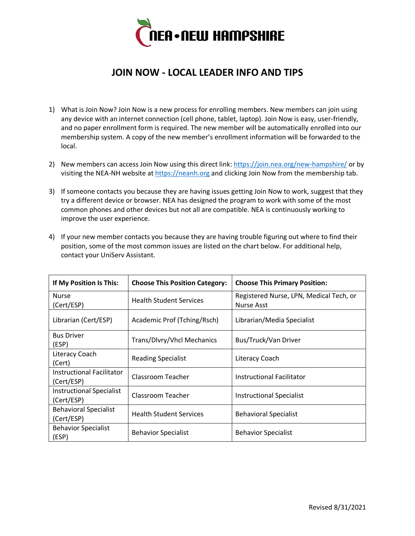

## **JOIN NOW - LOCAL LEADER INFO AND TIPS**

- 1) What is Join Now? Join Now is a new process for enrolling members. New members can join using any device with an internet connection (cell phone, tablet, laptop). Join Now is easy, user-friendly, and no paper enrollment form is required. The new member will be automatically enrolled into our membership system. A copy of the new member's enrollment information will be forwarded to the local.
- 2) New members can access Join Now using this direct link:<https://join.nea.org/new-hampshire/> or by visiting the NEA-NH website at [https://neanh.org](https://neanh.org/) and clicking Join Now from the membership tab.
- 3) If someone contacts you because they are having issues getting Join Now to work, suggest that they try a different device or browser. NEA has designed the program to work with some of the most common phones and other devices but not all are compatible. NEA is continuously working to improve the user experience.

| 4) If your new member contacts you because they are having trouble figuring out where to find their |  |  |  |
|-----------------------------------------------------------------------------------------------------|--|--|--|
| position, some of the most common issues are listed on the chart below. For additional help,        |  |  |  |
| contact your UniSery Assistant.                                                                     |  |  |  |
|                                                                                                     |  |  |  |

| If My Position Is This:                        | <b>Choose This Position Category:</b> | <b>Choose This Primary Position:</b>                         |
|------------------------------------------------|---------------------------------------|--------------------------------------------------------------|
| <b>Nurse</b><br>(Cert/ESP)                     | <b>Health Student Services</b>        | Registered Nurse, LPN, Medical Tech, or<br><b>Nurse Asst</b> |
| Librarian (Cert/ESP)                           | Academic Prof (Tching/Rsch)           | Librarian/Media Specialist                                   |
| <b>Bus Driver</b><br>(ESP)                     | Trans/Dlvry/Vhcl Mechanics            | Bus/Truck/Van Driver                                         |
| Literacy Coach<br>(Cert)                       | <b>Reading Specialist</b>             | Literacy Coach                                               |
| <b>Instructional Facilitator</b><br>(Cert/ESP) | Classroom Teacher                     | Instructional Facilitator                                    |
| <b>Instructional Specialist</b><br>(Cert/ESP)  | Classroom Teacher                     | <b>Instructional Specialist</b>                              |
| <b>Behavioral Specialist</b><br>(Cert/ESP)     | <b>Health Student Services</b>        | <b>Behavioral Specialist</b>                                 |
| <b>Behavior Specialist</b><br>(ESP)            | <b>Behavior Specialist</b>            | <b>Behavior Specialist</b>                                   |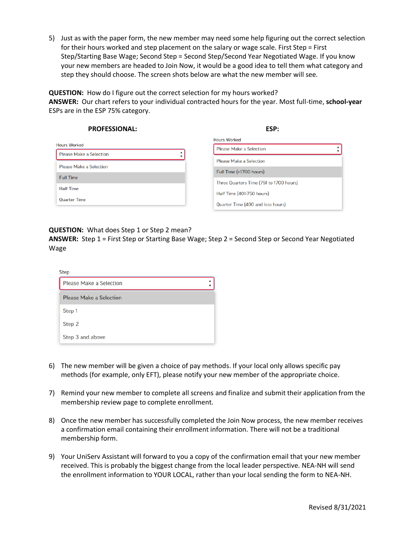5) Just as with the paper form, the new member may need some help figuring out the correct selection for their hours worked and step placement on the salary or wage scale. First Step = First Step/Starting Base Wage; Second Step = Second Step/Second Year Negotiated Wage. If you know your new members are headed to Join Now, it would be a good idea to tell them what category and step they should choose. The screen shots below are what the new member will see.

**QUESTION:** How do I figure out the correct selection for my hours worked? **ANSWER:** Our chart refers to your individual contracted hours for the year. Most full-time, **school-year** ESPs are in the ESP 75% category.

| <b>PROFESSIONAL:</b>           | ESP:                                    |
|--------------------------------|-----------------------------------------|
|                                | <b>Hours Worked</b>                     |
| <b>Hours Worked</b>            | <b>Please Make a Selection</b>          |
| <b>Please Make a Selection</b> | <b>Please Make a Selection</b>          |
| <b>Please Make a Selection</b> |                                         |
| <b>Full Time</b>               | Full Time (>1700 hours)                 |
| <b>Half Time</b>               | Three Quarters Time (751 to 1700 hours) |
|                                | Half Time (401-750 hours)               |
| <b>Ouarter Time</b>            | Quarter Time (400 and less hours)       |

## **QUESTION:** What does Step 1 or Step 2 mean?

**ANSWER:** Step 1 = First Step or Starting Base Wage; Step 2 = Second Step or Second Year Negotiated Wage

| Step                           |  |  |  |
|--------------------------------|--|--|--|
| <b>Please Make a Selection</b> |  |  |  |
| <b>Please Make a Selection</b> |  |  |  |
| Step 1                         |  |  |  |
| Step 2                         |  |  |  |
| Step 3 and above               |  |  |  |

- 6) The new member will be given a choice of pay methods. If your local only allows specific pay methods (for example, only EFT), please notify your new member of the appropriate choice.
- 7) Remind your new member to complete all screens and finalize and submit their application from the membership review page to complete enrollment.
- 8) Once the new member has successfully completed the Join Now process, the new member receives a confirmation email containing their enrollment information. There will not be a traditional membership form.
- 9) Your UniServ Assistant will forward to you a copy of the confirmation email that your new member received. This is probably the biggest change from the local leader perspective. NEA-NH will send the enrollment information to YOUR LOCAL, rather than your local sending the form to NEA-NH.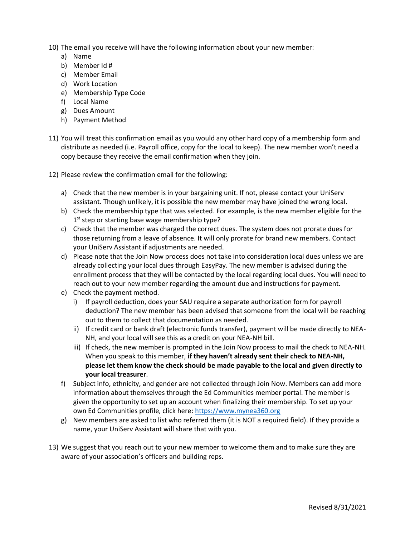- 10) The email you receive will have the following information about your new member:
	- a) Name
	- b) Member Id #
	- c) Member Email
	- d) Work Location
	- e) Membership Type Code
	- f) Local Name
	- g) Dues Amount
	- h) Payment Method
- 11) You will treat this confirmation email as you would any other hard copy of a membership form and distribute as needed (i.e. Payroll office, copy for the local to keep). The new member won't need a copy because they receive the email confirmation when they join.
- 12) Please review the confirmation email for the following:
	- a) Check that the new member is in your bargaining unit. If not, please contact your UniServ assistant. Though unlikely, it is possible the new member may have joined the wrong local.
	- b) Check the membership type that was selected. For example, is the new member eligible for the 1<sup>st</sup> step or starting base wage membership type?
	- c) Check that the member was charged the correct dues. The system does not prorate dues for those returning from a leave of absence. It will only prorate for brand new members. Contact your UniServ Assistant if adjustments are needed.
	- d) Please note that the Join Now process does not take into consideration local dues unless we are already collecting your local dues through EasyPay. The new member is advised during the enrollment process that they will be contacted by the local regarding local dues. You will need to reach out to your new member regarding the amount due and instructions for payment.
	- e) Check the payment method.
		- i) If payroll deduction, does your SAU require a separate authorization form for payroll deduction? The new member has been advised that someone from the local will be reaching out to them to collect that documentation as needed.
		- ii) If credit card or bank draft (electronic funds transfer), payment will be made directly to NEA-NH, and your local will see this as a credit on your NEA-NH bill.
		- iii) If check, the new member is prompted in the Join Now process to mail the check to NEA-NH. When you speak to this member, **if they haven't already sent their check to NEA-NH, please let them know the check should be made payable to the local and given directly to your local treasurer**.
	- f) Subject info, ethnicity, and gender are not collected through Join Now. Members can add more information about themselves through the Ed Communities member portal. The member is given the opportunity to set up an account when finalizing their membership. To set up your own Ed Communities profile, click here[: https://www.mynea360.org](https://www.mynea360.org/)
	- g) New members are asked to list who referred them (it is NOT a required field). If they provide a name, your UniServ Assistant will share that with you.
- 13) We suggest that you reach out to your new member to welcome them and to make sure they are aware of your association's officers and building reps.